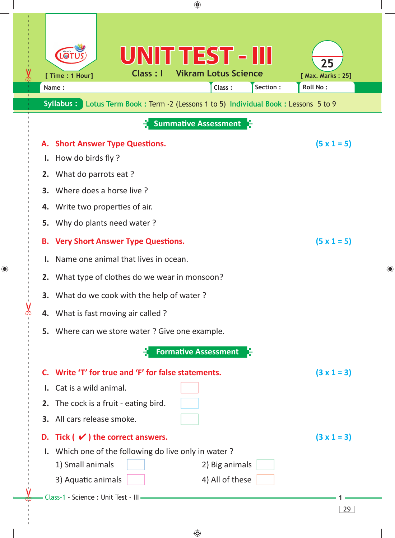| ♠                                                                                                                                                                                                                                                                                                                                                                                                                                                                                                          |   |
|------------------------------------------------------------------------------------------------------------------------------------------------------------------------------------------------------------------------------------------------------------------------------------------------------------------------------------------------------------------------------------------------------------------------------------------------------------------------------------------------------------|---|
| UNIT TEST - III<br>25<br><b>Vikram Lotus Science</b><br>Class: I<br>[ Time : 1 Hour]<br>[ Max. Marks: 25]<br>Section:<br>Roll No:<br>Class:<br>Name:<br>Syllabus:<br>Lotus Term Book : Term -2 (Lessons 1 to 5) Individual Book : Lessons 5 to 9                                                                                                                                                                                                                                                           |   |
| <b>Summative Assessment</b>                                                                                                                                                                                                                                                                                                                                                                                                                                                                                |   |
| $(5 \times 1 = 5)$<br><b>Short Answer Type Questions.</b><br>А.<br>How do birds fly?<br>$\mathbf{I}$ .<br>2. What do parrots eat ?<br><b>3.</b> Where does a horse live?<br>4. Write two properties of air.<br>Why do plants need water?<br>5.<br>$(5 \times 1 = 5)$<br><b>Very Short Answer Type Questions.</b><br>В.<br>Name one animal that lives in ocean.<br>I.<br>2. What type of clothes do we wear in monsoon?<br>3. What do we cook with the help of water?<br>4. What is fast moving air called? | ⊕ |
| 5. Where can we store water? Give one example.                                                                                                                                                                                                                                                                                                                                                                                                                                                             |   |
| <b>Formative Assessment</b>                                                                                                                                                                                                                                                                                                                                                                                                                                                                                |   |
| C. Write 'T' for true and 'F' for false statements.<br>$(3 \times 1 = 3)$<br>I. Cat is a wild animal.                                                                                                                                                                                                                                                                                                                                                                                                      |   |
| 2. The cock is a fruit - eating bird.                                                                                                                                                                                                                                                                                                                                                                                                                                                                      |   |
| 3. All cars release smoke.                                                                                                                                                                                                                                                                                                                                                                                                                                                                                 |   |
| D. Tick $(\vee)$ the correct answers.<br>$(3 \times 1 = 3)$                                                                                                                                                                                                                                                                                                                                                                                                                                                |   |
| I. Which one of the following do live only in water?<br>1) Small animals<br>2) Big animals<br>3) Aquatic animals<br>4) All of these<br>Class-1 - Science : Unit Test - III                                                                                                                                                                                                                                                                                                                                 |   |
| 29                                                                                                                                                                                                                                                                                                                                                                                                                                                                                                         |   |

 $\bigoplus$ 

 $\bigoplus$